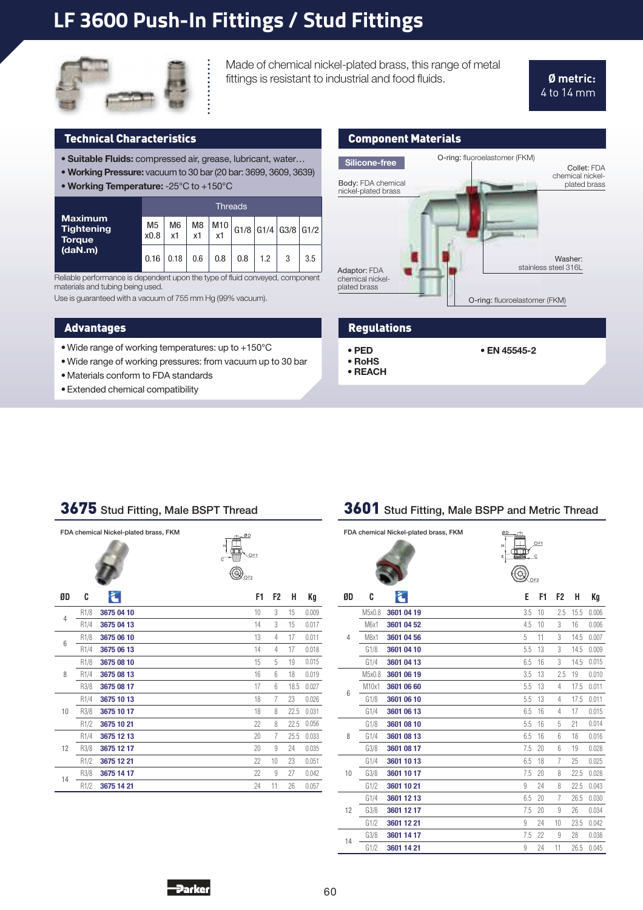# **LF 3600 Push-In Fittings / Stud Fittings**



Made of chemical nickel-plated brass, this range of metal fittings is resistant to industrial and food fluids. **Ø metric:** 

4 to 14 mm

### Technical Characteristics Component Materials

- Suitable Fluids: compressed air, grease, lubricant, water…
- Working Pressure: vacuum to 30 bar (20 bar: 3699, 3609, 3639)
- Working Temperature: -25°C to +150°C

|                                                      |                        |                      |                      |                       | Threads |     |   |                             |
|------------------------------------------------------|------------------------|----------------------|----------------------|-----------------------|---------|-----|---|-----------------------------|
| <b>Maximum</b><br><b>Tightening</b><br><b>Torque</b> | M <sub>5</sub><br>x0.8 | M <sub>6</sub><br>x1 | M <sub>8</sub><br>х1 | M <sub>10</sub><br>x1 |         |     |   | $G1/8$ $G1/4$ $G3/8$ $G1/2$ |
| (daN.m)                                              | 0.16                   | 0.18                 | 0.6                  | 0.8                   | 0.8     | 1.2 | 3 | 3.5                         |

Reliable performance is dependent upon the type of fluid conveyed, component materials and tubing being used.

Use is guaranteed with a vacuum of 755 mm Hg (99% vacuum).

#### Advantages

- Wide range of working temperatures: up to +150°C
- Wide range of working pressures: from vacuum up to 30 bar
- Materials conform to FDA standards
- Extended chemical compatibility



#### Regulations

- PED
- RoHS

#### • EN 45545-2

• REACH

FDA chemical Nickel-plated brass, FKM

# 3601 Stud Fitting, Male BSPP and Metric Thread

|                |                   | FDA chemical Nickel-plated brass, FKM | <b>D-00</b><br>Н<br>шп<br>OF1<br>$\overline{c}$<br>$\zeta$ OF2 |                 |      |       |
|----------------|-------------------|---------------------------------------|----------------------------------------------------------------|-----------------|------|-------|
| ØD             | C                 | Ł                                     | F <sub>1</sub>                                                 | F <sub>2</sub>  | н    | Kg    |
| $\overline{4}$ | R <sub>1/8</sub>  | 3675 04 10                            | 10                                                             | 3               | 15   | 0.009 |
|                | R <sub>1</sub> /4 | 3675 04 13                            | 14                                                             | 3               | 15   | 0.017 |
| 6              | R <sub>1/8</sub>  | 3675 06 10                            | 13                                                             | 4               | 17   | 0.011 |
|                | R1/4              | 3675 06 13                            | 14                                                             | 4               | 17   | 0.018 |
|                | R <sub>1/8</sub>  | 3675 08 10                            | 15                                                             | 5               | 19   | 0.015 |
| 8              | R1/4              | 3675 08 13                            | 16                                                             | $6\overline{6}$ | 18   | 0.019 |
|                | R3/8              | 3675 08 17                            | 17                                                             | $6\overline{6}$ | 18.5 | 0.027 |
|                | R1/4              | 3675 10 13                            | 18                                                             | $\overline{7}$  | 23   | 0.026 |
| 10             | R3/8              | 3675 10 17                            | 18                                                             | 8               | 22.5 | 0.031 |
|                | R1/2              | 3675 10 21                            | 22                                                             | 8               | 22.5 | 0.056 |
|                | R1/4              | 3675 12 13                            | 20                                                             | 7               | 25.5 | 0.033 |
| 12             | R3/8              | 3675 12 17                            | 20                                                             | 9               | 24   | 0.035 |
|                | R1/2              | 3675 12 21                            | 22                                                             | 10              | 23   | 0.051 |
| 14             | R3/8              | 3675 14 17                            | 22                                                             | 9               | 27   | 0.042 |
|                | R1/2              | 3675 14 21                            | 24                                                             | 11              | 26   | 0.057 |

| Ł<br>ØD<br>C<br>F1<br>н<br>E<br>F <sub>2</sub><br>Κg<br>10<br>3601 04 19<br>3.5<br>2.5<br>15.5<br>M5x0.8<br>3601 04 52<br>4.5<br>3<br>16<br>M6x1<br>10<br>11<br>3<br>M8x1<br>3601 04 56<br>5<br>14.5<br>4<br>3<br>13<br>14.5<br>G1/8<br>3601 04 10<br>5.5<br>3<br>G1/4<br>3601 04 13<br>6.5<br>16<br>14.5<br>3.5<br>13<br>2.5<br>19<br>M5x0.8<br>3601 06 19<br>M10x1<br>3601 06 60<br>5.5<br>13<br>4<br>17.5<br>6<br>3601 06 10<br>G1/8<br>5.5<br>13<br>17.5<br>4<br>3601 06 13<br>6.5<br>16<br>G1/4<br>4<br>17<br>3601 08 10<br>5.5<br>16<br>5<br>21<br>G1/8<br>3601 08 13<br>16<br>6<br>8<br>G1/4<br>6.5<br>18<br>7.5<br>6<br>G3/8<br>3601 08 17<br>20<br>19<br>3601 10 13<br>6.5<br>18<br>G1/4<br>7<br>25<br>10<br>G3/8<br>3601 10 17<br>7.5<br>20<br>8<br>22.5<br>9<br>24<br>8<br>22.5<br>G1/2<br>3601 10 21<br>$\overline{7}$<br>26.5<br>3601 12 13<br>6.5<br>20<br>G1/4<br>3601 12 17<br>7.5<br>20<br>9<br>26<br>12<br>G3/8<br>3601 12 21<br>9<br>24<br>G1/2<br>10<br>23.5<br>3601 14 17<br>22<br>28<br>G3/8<br>7.5<br>9<br>14<br>3601 14 21<br>9<br>11<br>26.5<br>G1/2<br>24 |  | FDA chemical Nickel-plated brass, FKM | ØD<br>- Ch<br>н<br>Tт<br>E | $\mathbf C$<br>QF2 | OF <sub>1</sub> |  |       |
|-------------------------------------------------------------------------------------------------------------------------------------------------------------------------------------------------------------------------------------------------------------------------------------------------------------------------------------------------------------------------------------------------------------------------------------------------------------------------------------------------------------------------------------------------------------------------------------------------------------------------------------------------------------------------------------------------------------------------------------------------------------------------------------------------------------------------------------------------------------------------------------------------------------------------------------------------------------------------------------------------------------------------------------------------------------------------------------|--|---------------------------------------|----------------------------|--------------------|-----------------|--|-------|
|                                                                                                                                                                                                                                                                                                                                                                                                                                                                                                                                                                                                                                                                                                                                                                                                                                                                                                                                                                                                                                                                                     |  |                                       |                            |                    |                 |  |       |
|                                                                                                                                                                                                                                                                                                                                                                                                                                                                                                                                                                                                                                                                                                                                                                                                                                                                                                                                                                                                                                                                                     |  |                                       |                            |                    |                 |  | 0.006 |
|                                                                                                                                                                                                                                                                                                                                                                                                                                                                                                                                                                                                                                                                                                                                                                                                                                                                                                                                                                                                                                                                                     |  |                                       |                            |                    |                 |  | 0.006 |
|                                                                                                                                                                                                                                                                                                                                                                                                                                                                                                                                                                                                                                                                                                                                                                                                                                                                                                                                                                                                                                                                                     |  |                                       |                            |                    |                 |  | 0.007 |
|                                                                                                                                                                                                                                                                                                                                                                                                                                                                                                                                                                                                                                                                                                                                                                                                                                                                                                                                                                                                                                                                                     |  |                                       |                            |                    |                 |  | 0.009 |
|                                                                                                                                                                                                                                                                                                                                                                                                                                                                                                                                                                                                                                                                                                                                                                                                                                                                                                                                                                                                                                                                                     |  |                                       |                            |                    |                 |  | 0.015 |
|                                                                                                                                                                                                                                                                                                                                                                                                                                                                                                                                                                                                                                                                                                                                                                                                                                                                                                                                                                                                                                                                                     |  |                                       |                            |                    |                 |  | 0.010 |
|                                                                                                                                                                                                                                                                                                                                                                                                                                                                                                                                                                                                                                                                                                                                                                                                                                                                                                                                                                                                                                                                                     |  |                                       |                            |                    |                 |  | 0.011 |
|                                                                                                                                                                                                                                                                                                                                                                                                                                                                                                                                                                                                                                                                                                                                                                                                                                                                                                                                                                                                                                                                                     |  |                                       |                            |                    |                 |  | 0.011 |
|                                                                                                                                                                                                                                                                                                                                                                                                                                                                                                                                                                                                                                                                                                                                                                                                                                                                                                                                                                                                                                                                                     |  |                                       |                            |                    |                 |  | 0.015 |
|                                                                                                                                                                                                                                                                                                                                                                                                                                                                                                                                                                                                                                                                                                                                                                                                                                                                                                                                                                                                                                                                                     |  |                                       |                            |                    |                 |  | 0.014 |
|                                                                                                                                                                                                                                                                                                                                                                                                                                                                                                                                                                                                                                                                                                                                                                                                                                                                                                                                                                                                                                                                                     |  |                                       |                            |                    |                 |  | 0.016 |
|                                                                                                                                                                                                                                                                                                                                                                                                                                                                                                                                                                                                                                                                                                                                                                                                                                                                                                                                                                                                                                                                                     |  |                                       |                            |                    |                 |  | 0.028 |
|                                                                                                                                                                                                                                                                                                                                                                                                                                                                                                                                                                                                                                                                                                                                                                                                                                                                                                                                                                                                                                                                                     |  |                                       |                            |                    |                 |  | 0.025 |
|                                                                                                                                                                                                                                                                                                                                                                                                                                                                                                                                                                                                                                                                                                                                                                                                                                                                                                                                                                                                                                                                                     |  |                                       |                            |                    |                 |  | 0.028 |
|                                                                                                                                                                                                                                                                                                                                                                                                                                                                                                                                                                                                                                                                                                                                                                                                                                                                                                                                                                                                                                                                                     |  |                                       |                            |                    |                 |  | 0.043 |
|                                                                                                                                                                                                                                                                                                                                                                                                                                                                                                                                                                                                                                                                                                                                                                                                                                                                                                                                                                                                                                                                                     |  |                                       |                            |                    |                 |  | 0.030 |
|                                                                                                                                                                                                                                                                                                                                                                                                                                                                                                                                                                                                                                                                                                                                                                                                                                                                                                                                                                                                                                                                                     |  |                                       |                            |                    |                 |  | 0.034 |
|                                                                                                                                                                                                                                                                                                                                                                                                                                                                                                                                                                                                                                                                                                                                                                                                                                                                                                                                                                                                                                                                                     |  |                                       |                            |                    |                 |  | 0.042 |
|                                                                                                                                                                                                                                                                                                                                                                                                                                                                                                                                                                                                                                                                                                                                                                                                                                                                                                                                                                                                                                                                                     |  |                                       |                            |                    |                 |  | 0.038 |
|                                                                                                                                                                                                                                                                                                                                                                                                                                                                                                                                                                                                                                                                                                                                                                                                                                                                                                                                                                                                                                                                                     |  |                                       |                            |                    |                 |  | 0.045 |

# 3675 Stud Fitting, Male BSPT Thread

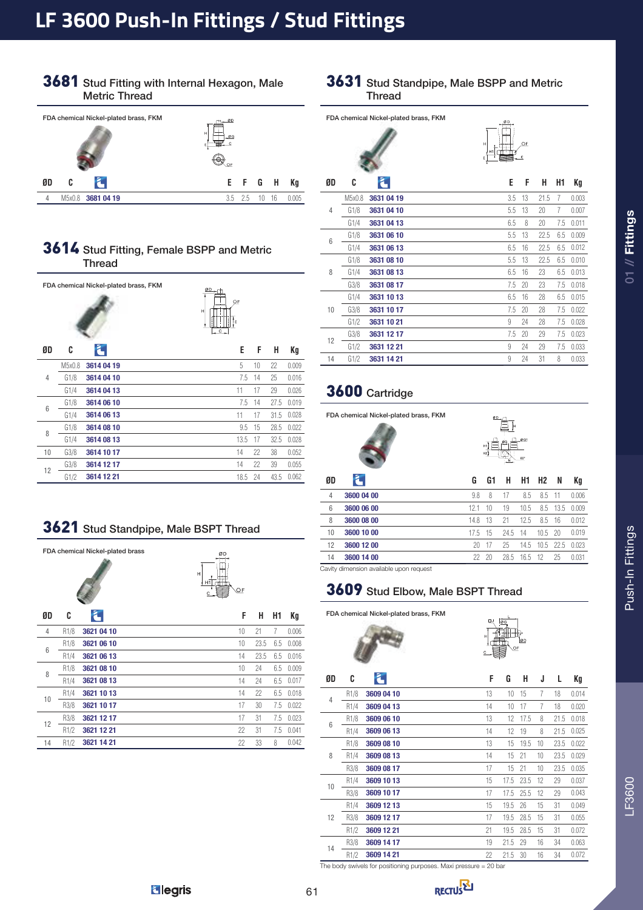# **LF 3600 Push-In Fittings / Stud Fittings**

## 3681 Stud Fitting with Internal Hexagon, Male Metric Thread



### 3614 Stud Fitting, Female BSPP and Metric Thread

|    |        | FDA chemical Nickel-plated brass, FKM | $00 - rh$<br>H<br>ĪΕ<br>Ċ | QE   |    |      |       |
|----|--------|---------------------------------------|---------------------------|------|----|------|-------|
| ØD | C      | Ł                                     |                           | E    | F  | н    | Kg    |
|    | M5x0.8 | 3614 04 19                            |                           | 5    | 10 | 22   | 0.009 |
| 4  | G1/8   | 3614 04 10                            |                           | 7.5  | 14 | 25   | 0.016 |
|    | G1/4   | 3614 04 13                            |                           | 11   | 17 | 29   | 0.026 |
| 6  | G1/8   | 3614 06 10                            |                           | 7.5  | 14 | 27.5 | 0.019 |
|    | G1/4   | 3614 06 13                            |                           | 11   | 17 | 31.5 | 0.028 |
| 8  | G1/8   | 3614 08 10                            |                           | 9.5  | 15 | 28.5 | 0.022 |
|    | G1/4   | 3614 08 13                            |                           | 13.5 | 17 | 32.5 | 0.028 |
| 10 | G3/8   | 3614 10 17                            |                           | 14   | 22 | 38   | 0.052 |
| 12 | G3/8   | 3614 12 17                            |                           | 14   | 22 | 39   | 0.055 |
|    | G1/2   | 3614 12 21                            |                           | 18.5 | 24 | 43.5 | 0.062 |
|    |        |                                       |                           |      |    |      |       |

## 3621 Stud Standpipe, Male BSPT Thread

FDA chemical Nickel-plated brass





| ØD              | C                | ā          | F  | н    | H1  | Kg    |
|-----------------|------------------|------------|----|------|-----|-------|
| 4               | R <sub>1/8</sub> | 3621 04 10 | 10 | 21   | 7   | 0.006 |
| $6\phantom{1}6$ | R <sub>1/8</sub> | 3621 06 10 | 10 | 23.5 | 6.5 | 0.008 |
|                 | R <sub>1/4</sub> | 3621 06 13 | 14 | 23.5 | 6.5 | 0.016 |
| 8               | R <sub>1/8</sub> | 3621 08 10 | 10 | 24   | 6.5 | 0.009 |
|                 | R <sub>1/4</sub> | 3621 08 13 | 14 | 24   | 6.5 | 0.017 |
| 10              | R1/4             | 3621 10 13 | 14 | 22   | 6.5 | 0.018 |
|                 | R3/8             | 3621 10 17 | 17 | 30   | 7.5 | 0.022 |
| 12              | R3/8             | 3621 12 17 | 17 | 31   | 7.5 | 0.023 |
|                 | R1/2             | 3621 12 21 | 22 | 31   | 7.5 | 0.041 |
| 14              | R1/2             | 3621 14 21 | 22 | 33   | 8   | 0.042 |

### 3631 Stud Standpipe, Male BSPP and Metric Thread

FDA chemical Nickel-plated brass, FKM **ØD C**  H **E F H H1 Kg** M5x0.8 **3631 04 19** 3.5 13 21.5 7 0.003 G1/8 **3631 04 10** 5.5 13 20 7 0.007 4 G1/4 **3631 04 13** 6.5 8 20 7.5 0.011 G1/8 **3631 06 10** 5.5 13 22.5 6.5 0.009 6 G1/4 **3631 06 13** 6.5 16 22.5 6.5 0.012 G1/8 **3631 08 10** 5.5 13 22.5 6.5 0.010 G1/4 **3631 08 13** 6.5 16 23 6.5 0.013 8 G3/8 **3631 08 17** 7.5 20 23 7.5 0.018 G1/4 **3631 10 13** 6.5 16 28 6.5 0.015 10 G3/8 **3631 10 17** 7.5 20 28 7.5 0.022 G1/2 **3631 10 21** 9 24 28 7.5 0.028 G3/8 **3631 12 17** 7.5 20 29 7.5 0.023 12 G1/2 **3631 12 21** 9 24 29 7.5 0.033 14 G1/2 3631 14 21 9 24 31 8 0.033

# 3600 Cartridge

FDA chemical Nickel-plated brass, FKM



| ØD |            | G       | G1        | н       | H1           | Н2        | N        | Κa                   |
|----|------------|---------|-----------|---------|--------------|-----------|----------|----------------------|
| 4  | 3600 04 00 | 9.8     | 8         | 17      | 8.5          | 8.5       | -11      | 0.006                |
| 6  | 3600 06 00 | 121     | $10^{-1}$ | 19      | 10.5         |           | 8.5 13.5 | 0.009                |
| 8  | 3600 08 00 | 14 8    | -13       | 21      | 12.5         | 85        | -16      | 0.012                |
| 10 | 3600 10 00 | 17.5 15 |           | 24.5 14 |              | $10.5$ 20 |          | 0.019                |
| 12 | 3600 12 00 | 20      | -17       | 25      |              |           |          | 14.5 10.5 22.5 0.023 |
| 14 | 3600 14 00 | 22      | - 20      |         | 28.5 16.5 12 |           | 25       | 0.031                |
|    |            |         |           |         |              |           |          |                      |

Cavity dimension available upon request

# 3609 Stud Elbow, Male BSPT Thread

FDA chemical Nickel-plated brass, FKM



| ØD | C                 | Ł          |    | F<br>G | н    | J  | L    | Kg    |
|----|-------------------|------------|----|--------|------|----|------|-------|
| 4  | R <sub>1/8</sub>  | 3609 04 10 | 13 | 10     | 15   | 7  | 18   | 0.014 |
|    | R <sub>1</sub> /4 | 3609 04 13 | 14 | 10     | 17   | 7  | 18   | 0.020 |
| 6  | R <sub>1/8</sub>  | 3609 06 10 | 13 | 12     | 17.5 | 8  | 21.5 | 0.018 |
|    | R <sub>1</sub> /4 | 3609 06 13 | 14 | 12     | 19   | 8  | 21.5 | 0.025 |
|    | R1/8              | 3609 08 10 | 13 | 15     | 19.5 | 10 | 23.5 | 0.022 |
| 8  | R1/4              | 3609 08 13 | 14 | 15     | 21   | 10 | 23.5 | 0.029 |
|    | R3/8              | 3609 08 17 | 17 | 15     | 21   | 10 | 23.5 | 0.035 |
| 10 | R <sub>1</sub> /4 | 3609 10 13 | 15 | 17.5   | 23.5 | 12 | 29   | 0.037 |
|    | R3/8              | 3609 10 17 | 17 | 17.5   | 25.5 | 12 | 29   | 0.043 |
|    | R <sub>1</sub> /4 | 3609 12 13 | 15 | 19.5   | 26   | 15 | 31   | 0.049 |
| 12 | R3/8              | 3609 12 17 | 17 | 19.5   | 28.5 | 15 | 31   | 0.055 |
|    | R1/2              | 3609 12 21 | 21 | 19.5   | 28.5 | 15 | 31   | 0.072 |
|    | R3/8              | 3609 14 17 | 19 | 21.5   | 29   | 16 | 34   | 0.063 |
| 14 | R1/2              | 3609 14 21 | 22 | 21.5   | 30   | 16 | 34   | 0.072 |

The body swivels for positioning purposes. Maxi pressure = 20 bar



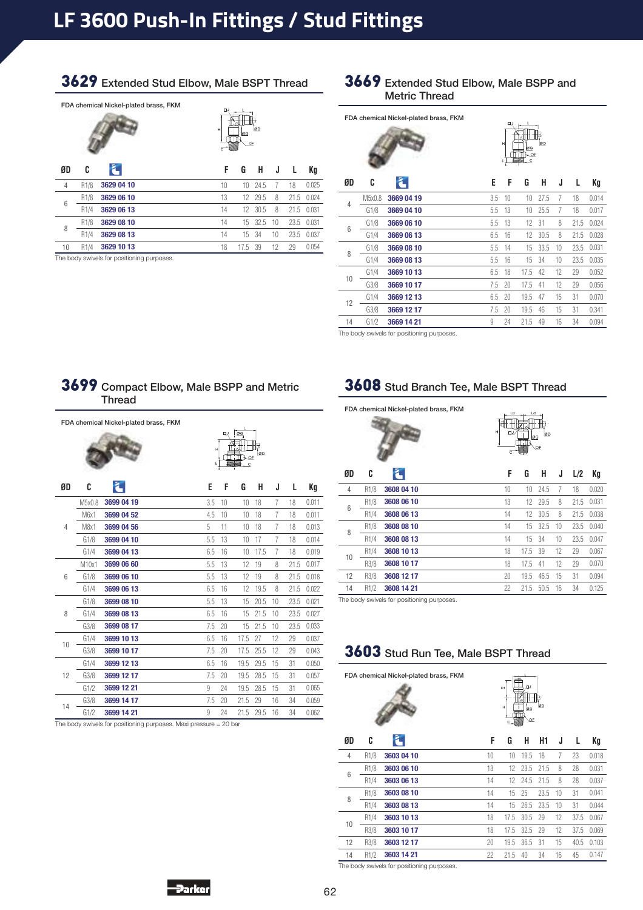# 3629 Extended Stud Elbow, Male BSPT Thread





| ØD | C                 | F.         | F  | G    | н        | J  |      | Κa    |
|----|-------------------|------------|----|------|----------|----|------|-------|
| 4  | R <sub>1/8</sub>  | 3629 04 10 | 10 | 10   | - 24.5   |    | 18   | 0.025 |
| 6  | R <sub>1/8</sub>  | 3629 06 10 | 13 |      | 12, 29.5 | 8  | 21.5 | 0.024 |
|    | R <sub>1</sub> /4 | 3629 06 13 | 14 | 12   | 30.5     | 8  | 21.5 | 0.031 |
| 8  | R <sub>1/8</sub>  | 3629 08 10 | 14 | 15   | - 32.5   | 10 | 23.5 | 0.031 |
|    | R <sub>1</sub> /4 | 3629 08 13 | 14 | 15   | 34       | 10 | 23.5 | 0.037 |
| 10 | R <sub>1</sub> /4 | 3629 10 13 | 18 | 17.5 | -39      | 12 | 29   | 0.054 |

The body swivels for positioning purposes.

### 3669 Extended Stud Elbow, Male BSPP and Metric Thread

|    |        | FDA chemical Nickel-plated brass, FKM |     | 巴<br>H<br>E | ØG<br>OF<br>с | lø o |    |      |       |
|----|--------|---------------------------------------|-----|-------------|---------------|------|----|------|-------|
| ØD | C      | Ł                                     | Е   | F           | G             | н    | J  | L    | Кg    |
|    | M5x0.8 | 3669 04 19                            | 3.5 | 10          | 10            | 27.5 | 7  | 18   | 0.014 |
| 4  | G1/8   | 3669 04 10                            | 5.5 | 13          | 10            | 25.5 | 7  | 18   | 0.017 |
| 6  | G1/8   | 3669 06 10                            | 5.5 | 13          | 12            | 31   | 8  | 21.5 | 0.024 |
|    | G1/4   | 3669 06 13                            | 6.5 | 16          | 12            | 30.5 | 8  | 21.5 | 0.028 |
| 8  | G1/8   | 3669 08 10                            | 5.5 | 14          | 15            | 33.5 | 10 | 23.5 | 0.031 |
|    | G1/4   | 3669 08 13                            | 5.5 | 16          | 15            | 34   | 10 | 23.5 | 0.035 |
| 10 | G1/4   | 3669 10 13                            | 6.5 | 18          | 17.5          | 42   | 12 | 29   | 0.052 |
|    | G3/8   | 3669 10 17                            | 7.5 | 20          | 17.5          | 41   | 12 | 29   | 0.056 |
| 12 | G1/4   | 3669 12 13                            | 6.5 | 20          | 19.5          | 47   | 15 | 31   | 0.070 |
|    | G3/8   | 3669 12 17                            | 7.5 | 20          | 19.5          | 46   | 15 | 31   | 0.341 |
| 14 | G1/2   | 3669 14 21                            | 9   | 24          | 21.5          | 49   | 16 | 34   | 0.094 |

The body swivels for positioning purposes.

### 3699 Compact Elbow, Male BSPP and Metric Thread

|    |                   | FDA chemical Nickel-plated brass, FKM |        |    |                                      |         |                |      |       |
|----|-------------------|---------------------------------------|--------|----|--------------------------------------|---------|----------------|------|-------|
|    |                   |                                       | H<br>Е | ΠJ | $\overline{\mathfrak{g}}$<br>OF<br>Ċ | R<br>ØD |                |      |       |
| ØD | C                 | Ł                                     | E      | F  | G                                    | н       | J              | L    | Kg    |
|    | M5x0.8            | 3699 04 19                            | 3.5    | 10 | 10                                   | 18      | 7              | 18   | 0.011 |
|    | M <sub>6</sub> x1 | 3699 04 52                            | 4.5    | 10 | 10                                   | 18      | 7              | 18   | 0.011 |
| 4  | M8x1              | 3699 04 56                            | 5      | 11 | 10                                   | 18      | $\overline{7}$ | 18   | 0.013 |
|    | G1/8              | 3699 04 10                            | 5.5    | 13 | 10                                   | 17      | 7              | 18   | 0.014 |
|    | G1/4              | 3699 04 13                            | 6.5    | 16 | 10                                   | 17.5    | 7              | 18   | 0.019 |
|    | M10x1             | 3699 06 60                            | 5.5    | 13 | 12                                   | 19      | 8              | 21.5 | 0.017 |
| 6  | G1/8              | 3699 06 10                            | 5.5    | 13 | 12                                   | 19      | 8              | 21.5 | 0.018 |
|    | G1/4              | 3699 06 13                            | 6.5    | 16 | 12                                   | 19.5    | 8              | 21.5 | 0.022 |
|    | G1/8              | 3699 08 10                            | 5.5    | 13 | 15                                   | 20.5    | 10             | 23.5 | 0.021 |
| 8  | G1/4              | 3699 08 13                            | 6.5    | 16 | 15                                   | 21.5    | 10             | 23.5 | 0.027 |
|    | G3/8              | 3699 08 17                            | 7.5    | 20 | 15                                   | 21.5    | 10             | 23.5 | 0.033 |
| 10 | G1/4              | 3699 10 13                            | 6.5    | 16 | 17.5                                 | 27      | 12             | 29   | 0.037 |
|    | G3/8              | 3699 10 17                            | 7.5    | 20 | 17.5                                 | 25.5    | 12             | 29   | 0.043 |
|    | G1/4              | 3699 12 13                            | 6.5    | 16 | 19.5                                 | 29.5    | 15             | 31   | 0.050 |
| 12 | G3/8              | 3699 12 17                            | 7.5    | 20 | 19.5                                 | 28.5    | 15             | 31   | 0.057 |
|    | G1/2              | 3699 12 21                            | 9      | 24 | 19.5                                 | 28.5    | 15             | 31   | 0.065 |
| 14 | G3/8              | 3699 14 17                            | 7.5    | 20 | 21.5                                 | 29      | 16             | 34   | 0.059 |
|    | G1/2              | 3699 14 21                            | 9      | 24 | 21.5                                 | 29.5    | 16             | 34   | 0.062 |

The body swivels for positioning purposes. Maxi pressure = 20 bar

# 3608 Stud Branch Tee, Male BSPT Thread

|                 |                  | FDA chemical Nickel-plated brass, FKM | L/2<br>H<br>$\Box$<br>$\overline{C}$ | U <sub>2</sub><br>ØG.<br>╥╖╖ | ØD<br>QF |    |      |       |
|-----------------|------------------|---------------------------------------|--------------------------------------|------------------------------|----------|----|------|-------|
| ØD              | C                | Ł                                     | F                                    | G                            | н        | J  | L/2  | Kg    |
| 4               | R1/8             | 3608 04 10                            | 10                                   | 10                           | 24.5     | 7  | 18   | 0.020 |
| $6\phantom{1}6$ | R <sub>1/8</sub> | 3608 06 10                            | 13                                   | 12                           | 29.5     | 8  | 21.5 | 0.031 |
|                 | R <sub>1/4</sub> | 3608 06 13                            | 14                                   | 12                           | 30.5     | 8  | 21.5 | 0.038 |
| 8               | R1/8             | 3608 08 10                            | 14                                   | 15                           | 32.5     | 10 | 23.5 | 0.040 |
|                 | R <sub>1/4</sub> | 3608 08 13                            | 14                                   | 15                           | 34       | 10 | 23.5 | 0.047 |
| 10              | R1/4             | 3608 10 13                            | 18                                   | 17.5                         | 39       | 12 | 29   | 0.067 |
|                 | R3/8             | 3608 10 17                            | 18                                   | 17.5                         | 41       | 12 | 29   | 0.070 |
| 12              | R3/8             | 3608 12 17                            | 20                                   | 19.5                         | 46.5     | 15 | 31   | 0.094 |
| 14              | R1/2             | 3608 14 21                            | 22                                   | 21.5                         | 50.5     | 16 | 34   | 0.125 |

The body swivels for positioning purposes.

# 3603 Stud Run Tee, Male BSPT Thread

|                 | FDA chemical Nickel-plated brass, FKM |            | H1<br>H | ₽<br>пJ<br>lø G<br><b>A</b><br>OF | ØD   |      |    |      |       |
|-----------------|---------------------------------------|------------|---------|-----------------------------------|------|------|----|------|-------|
| ØD              | C                                     | Ł          | F       | G                                 | н    | H1   | J  | L    | Кg    |
| 4               | R1/8                                  | 3603 04 10 | 10      | 10                                | 19.5 | 18   | 7  | 23   | 0.018 |
| $6\phantom{1}6$ | R1/8                                  | 3603 06 10 | 13      | 12                                | 23.5 | 21.5 | 8  | 28   | 0.031 |
|                 | R1/4                                  | 3603 06 13 | 14      | 12                                | 24.5 | 21.5 | 8  | 28   | 0.037 |
| 8               | R1/8                                  | 3603 08 10 | 14      | 15                                | 25   | 23.5 | 10 | 31   | 0.041 |
|                 | R1/4                                  | 3603 08 13 | 14      | 15                                | 26.5 | 23.5 | 10 | 31   | 0.044 |
| 10              | R1/4                                  | 3603 10 13 | 18      | 17.5                              | 30.5 | 29   | 12 | 37.5 | 0.067 |
|                 | R3/8                                  | 3603 10 17 | 18      | 17.5                              | 32.5 | 29   | 12 | 37.5 | 0.069 |
| 12              | R3/8                                  | 3603 12 17 | 20      | 19.5                              | 36.5 | 31   | 15 | 40.5 | 0.103 |
| 14              | R1/2                                  | 3603 14 21 | 22      | 21.5                              | 40   | 34   | 16 | 45   | 0.147 |

The body swivels for positioning purposes.

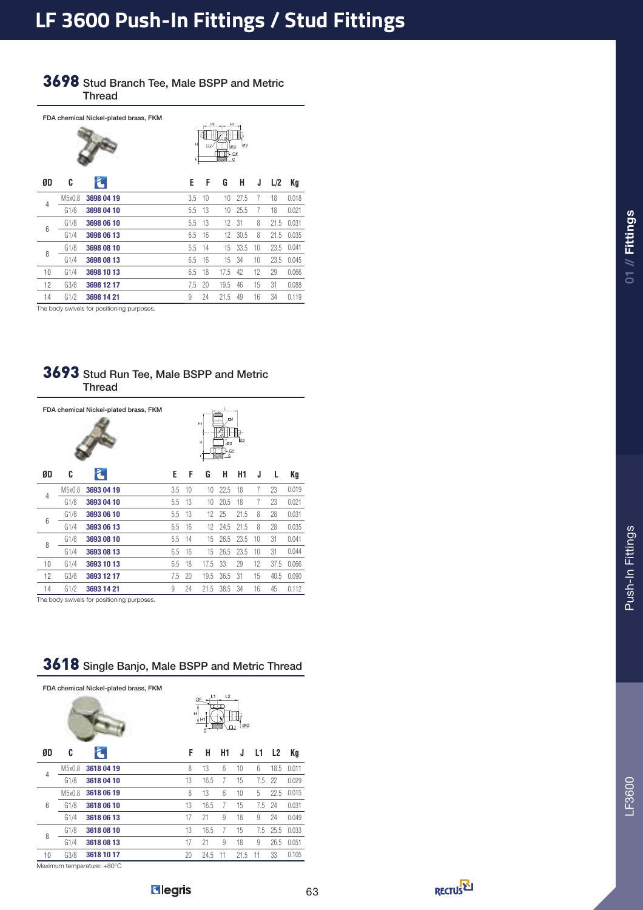### 3698 Stud Branch Tee, Male BSPP and Metric Thread

|                 |        | FDA chemical Nickel-plated brass, FKM | H<br>Ε | U2<br><b>OJ</b> | L/2<br>øg<br>TITTA OF<br>C | ØD   |    |      |       |
|-----------------|--------|---------------------------------------|--------|-----------------|----------------------------|------|----|------|-------|
| ØD              | C      | L                                     | E      | F               | G                          | н    | J  | L/2  | Kg    |
|                 | M5x0.8 | 3698 04 19                            | 3.5    | 10              | 10                         | 27.5 | 7  | 18   | 0.018 |
| $\overline{4}$  | G1/8   | 3698 04 10                            | 5.5    | 13              | 10                         | 25.5 | 7  | 18   | 0.021 |
| $6\phantom{1}6$ | G1/8   | 3698 06 10                            | 5.5    | 13              | 12                         | 31   | 8  | 21.5 | 0.031 |
|                 | G1/4   | 3698 06 13                            | 6.5    | 16              | 12                         | 30.5 | 8  | 21.5 | 0.035 |
| 8               | G1/8   | 3698 08 10                            | 5.5    | 14              | 15                         | 33.5 | 10 | 23.5 | 0.041 |
|                 | G1/4   | 3698 08 13                            | 6.5    | 16              | 15                         | 34   | 10 | 23.5 | 0.045 |
| 10              | G1/4   | 3698 10 13                            | 6.5    | 18              | 17.5                       | 42   | 12 | 29   | 0.066 |
| 12              | G3/8   | 3698 12 17                            | 7.5    | 20              | 19.5                       | 46   | 15 | 31   | 0.088 |
| 14              | G1/2   | 3698 14 21                            | 9      | 24              | 21.5                       | 49   | 16 | 34   | 0.119 |

The body swivels for positioning purposes.

### 3693 Stud Run Tee, Male BSPP and Metric Thread

| FDA chemical Nickel-plated brass, FKM |        |            |     |    | H1<br>H | L<br>œ<br>шJ<br>lø G<br>ऻॏॏॏऀॎ<br>c | lø o |    |      |       |
|---------------------------------------|--------|------------|-----|----|---------|-------------------------------------|------|----|------|-------|
| ØD                                    | C      | L          | E   | F  | G       | н                                   | H1   | J  | L    | Kg    |
| $\overline{4}$                        | M5x0.8 | 3693 04 19 | 3.5 | 10 | 10      | 22.5                                | 18   | 7  | 23   | 0.019 |
|                                       | G1/8   | 3693 04 10 | 5.5 | 13 | 10      | 20.5                                | 18   | 7  | 23   | 0.021 |
| $6\phantom{1}6$                       | G1/8   | 3693 06 10 | 5.5 | 13 | 12      | 25                                  | 21.5 | 8  | 28   | 0.031 |
|                                       | G1/4   | 3693 06 13 | 6.5 | 16 | 12      | 24.5                                | 21.5 | 8  | 28   | 0.035 |
| 8                                     | G1/8   | 3693 08 10 | 5.5 | 14 | 15      | 26.5                                | 23.5 | 10 | 31   | 0.041 |
|                                       | G1/4   | 3693 08 13 | 6.5 | 16 | 15      | 26.5                                | 23.5 | 10 | 31   | 0.044 |
| 10                                    | G1/4   | 3693 10 13 | 6.5 | 18 | 17.5    | 33                                  | 29   | 12 | 37.5 | 0.066 |
| 12                                    | G3/8   | 3693 12 17 | 7.5 | 20 | 19.5    | 36.5                                | 31   | 15 | 40.5 | 0.090 |
| 14                                    | G1/2   | 3693 14 21 | 9   | 24 | 21.5    | 38.5                                | 34   | 16 | 45   | 0.112 |

The body swivels for positioning purposes.

FDA chemical Nickel-plated brass, FKM

# 3618 Single Banjo, Male BSPP and Metric Thread

|                |        | , Drivinguilloui Nonci piùned biassi, i nivi | Η  | L1<br>OF<br>, H1 | L2<br><b>September</b><br><u>د ص</u> | ØD   |     |                |       |
|----------------|--------|----------------------------------------------|----|------------------|--------------------------------------|------|-----|----------------|-------|
| ØD             | C      | L                                            | F  | н                | H1                                   | J    | L1  | L <sub>2</sub> | Kg    |
| $\overline{4}$ | M5x0.8 | 3618 04 19                                   | 8  | 13               | 6                                    | 10   | 6   | 18.5           | 0.011 |
|                | G1/8   | 3618 04 10                                   | 13 | 16.5             | 7                                    | 15   | 7.5 | 22             | 0.029 |
|                | M5x0.8 | 3618 06 19                                   | 8  | 13               | 6                                    | 10   | 5   | 22.5           | 0.015 |
| 6              | G1/8   | 3618 06 10                                   | 13 | 16.5             | 7                                    | 15   | 7.5 | 24             | 0.031 |
|                | G1/4   | 3618 06 13                                   | 17 | 21               | 9                                    | 18   | 9   | 24             | 0.049 |
| 8              | G1/8   | 3618 08 10                                   | 13 | 16.5             | 7                                    | 15   | 7.5 | 25.5           | 0.033 |
|                | G1/4   | 3618 08 13                                   | 17 | 21               | 9                                    | 18   | 9   | 26.5           | 0.051 |
| 10             | G3/8   | 3618 10 17                                   | 20 | 24.5             | 11                                   | 21.5 | 11  | 33             | 0.105 |
|                |        | Maximum temperature: +80°C                   |    |                  |                                      |      |     |                |       |

Maximum temperature: +80°C

63

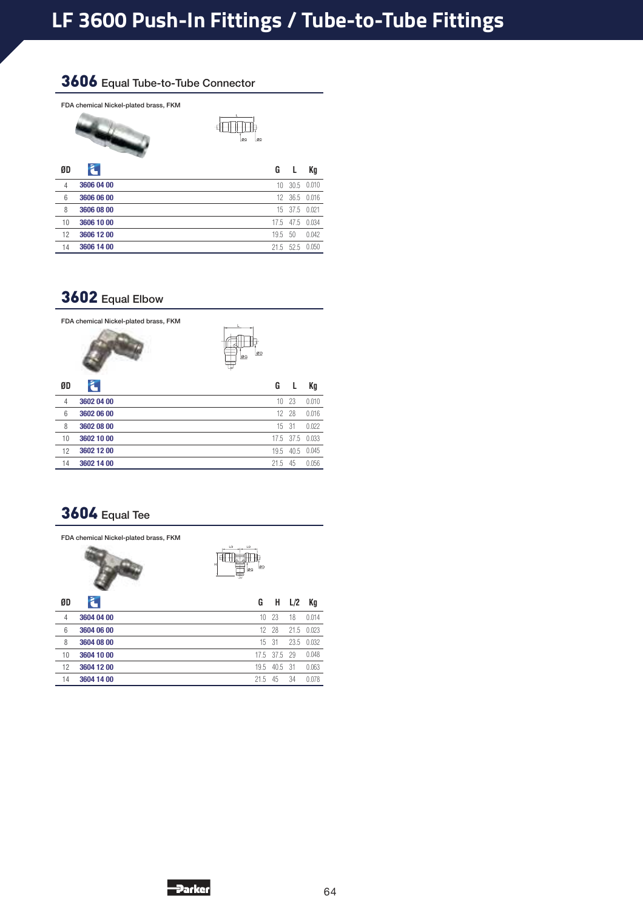# Equal Tube-to-Tube Connector

FDA chemical Nickel-plated brass, FKM

|    |            | ØD<br>ØG |   |   |               |
|----|------------|----------|---|---|---------------|
| ØD | Ł          |          | G | L | Kg            |
| 4  | 3606 04 00 |          |   |   | 10 30.5 0.010 |
| 6  | 3606 06 00 |          |   |   | 12 36.5 0.016 |
|    |            |          |   |   |               |

|    | 3606 08 00 |         | 15 37.5 0.021     |
|----|------------|---------|-------------------|
| 10 | 3606 10 00 |         | 17.5 47.5 0.034   |
| 12 | 3606 12 00 | 19.5 50 | 0.042             |
| 14 | 3606 14 00 |         | $21.5$ 52.5 0.050 |

# 3602 Equal Elbow

FDA chemical Nickel-plated brass, FKM



# **3604 Equal Tee**

FDA chemical Nickel-plated brass, FKM

|                |            | MA.<br>w<br>Н<br>ØD<br>ØG |         |      |       |
|----------------|------------|---------------------------|---------|------|-------|
| ØD             | Ł          | G                         | H       | L/2  | Kg    |
| $\overline{4}$ | 3604 04 00 | 10                        | 23      | 18   | 0.014 |
| 6              | 3604 06 00 | $12 \,$                   | 28      | 21.5 | 0.023 |
| 8              | 3604 08 00 | 15                        | 31      | 23.5 | 0.032 |
| 10             | 3604 10 00 | 17.5                      | 37.5 29 |      | 0.048 |
| 12             | 3604 12 00 | 19.5                      | 40.5    | -31  | 0.063 |
| 14             | 3604 14 00 | 21.5                      | 45      | 34   | 0.078 |

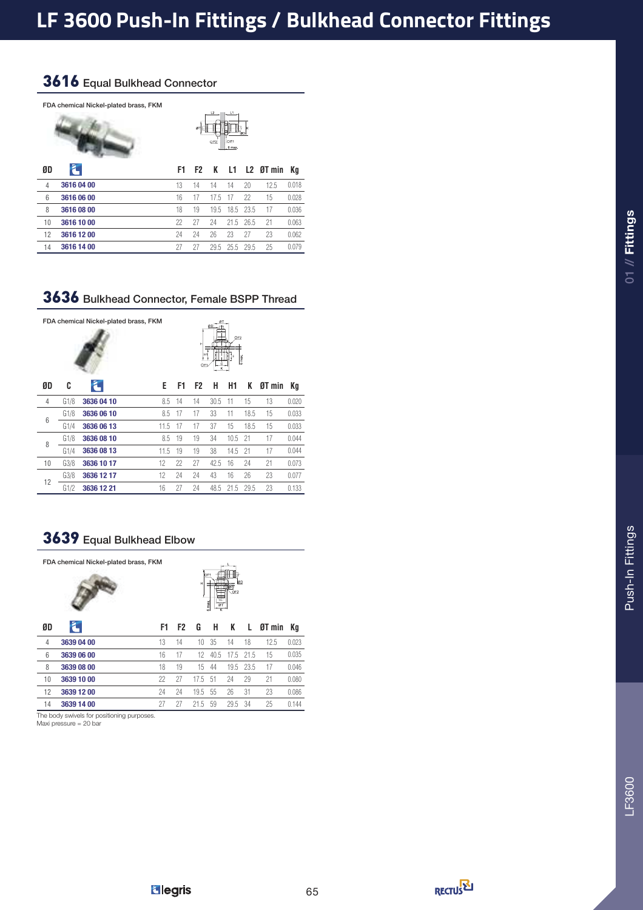# 3616 Equal Bulkhead Connector

|    | FDA chemical Nickel-plated brass, FKM |    |                |                     |      |      |           |       |
|----|---------------------------------------|----|----------------|---------------------|------|------|-----------|-------|
|    |                                       | ØT | L2<br>OF2      | L1<br>OF1<br>6 max. | øη.  |      |           |       |
| ØD | Ł                                     | F1 | F <sub>2</sub> | K                   | L1   |      | L2 ØT min | Kq    |
| 4  | 3616 04 00                            | 13 | 14             | 14                  | 14   | 20   | 12.5      | 0.018 |
| 6  | 3616 06 00                            | 16 | 17             | 17.5                | 17   | 22   | 15        | 0.028 |
| 8  | 3616 08 00                            | 18 | 19             | 19.5                | 18.5 | 23.5 | 17        | 0.036 |
| 10 | 3616 10 00                            | 22 | 27             | 24                  | 21.5 | 26.5 | 21        | 0.063 |
| 12 | 3616 12 00                            | 24 | 24             | 26                  | 23   | 27   | 23        | 0.062 |
| 14 | 3616 14 00                            | 27 | 27             | 29.5                | 25.5 | 29.5 | 25        | 0.079 |

# 3636 Bulkhead Connector, Female BSPP Thread

| FDA chemical Nickel-plated brass, FKM |      |            |      |    | н<br>OF1       | ØΤ<br>ØD<br>$\mathbf{C}$<br>к | QE2  | 6 max. |        |       |
|---------------------------------------|------|------------|------|----|----------------|-------------------------------|------|--------|--------|-------|
| ØD                                    | C    | Ł          | Е    | F1 | F <sub>2</sub> | н                             | H1   | K      | ØT min | Kg    |
| 4                                     | G1/8 | 3636 04 10 | 8.5  | 14 | 14             | 30.5                          | 11   | 15     | 13     | 0.020 |
| 6                                     | G1/8 | 3636 06 10 | 8.5  | 17 | 17             | 33                            | 11   | 18.5   | 15     | 0.033 |
|                                       | G1/4 | 3636 06 13 | 11.5 | 17 | 17             | 37                            | 15   | 18.5   | 15     | 0.033 |
| 8                                     | G1/8 | 3636 08 10 | 8.5  | 19 | 19             | 34                            | 10.5 | 21     | 17     | 0.044 |
|                                       | G1/4 | 3636 08 13 | 11.5 | 19 | 19             | 38                            | 14.5 | 21     | 17     | 0.044 |
| 10                                    | G3/8 | 3636 10 17 | 12   | 22 | 27             | 42.5                          | 16   | 24     | 21     | 0.073 |
| 12                                    | G3/8 | 3636 12 17 | 12   | 24 | 24             | 43                            | 16   | 26     | 23     | 0.077 |
|                                       | G1/2 | 3636 12 21 | 16   | 27 | 24             | 48.5                          | 21.5 | 29.5   | 23     | 0.133 |

# 3639 Equal Bulkhead Elbow

| FDA chemical Nickel-plated brass, FKM |            |     |                | H    | loF1<br>ππ<br>₩<br>6 max.<br>ØT | lø o<br>øg<br>OF <sub>2</sub> |           |        |       |
|---------------------------------------|------------|-----|----------------|------|---------------------------------|-------------------------------|-----------|--------|-------|
| ØD                                    | Ł          | F1. | F <sub>2</sub> | G    | H                               | К                             | L.        | ØT min | Kq    |
| $\overline{4}$                        | 3639 04 00 | 13  | 14             | 10   | 35                              | 14                            | 18        | 12.5   | 0.023 |
| 6                                     | 3639 06 00 | 16  | 17             | 12   | 40.5                            |                               | 17.5 21.5 | 15     | 0.035 |
| 8                                     | 3639 08 00 | 18  | 19             | 15   | 44                              | 19.5                          | 23.5      | 17     | 0.046 |
| 10                                    | 3639 10 00 | 22  | 27             | 17.5 | 51                              | 24                            | 29        | 21     | 0.080 |
| 12                                    | 3639 12 00 | 24  | 24             | 19.5 | 55                              | 26                            | 31        | 23     | 0.086 |
| 14                                    | 3639 14 00 | 27  | 27             | 21.5 | 59                              | 29.5                          | 34        | 25     | 0.144 |

**Elegris** 

The body swivels for positioning purposes. Maxi pressure = 20 bar



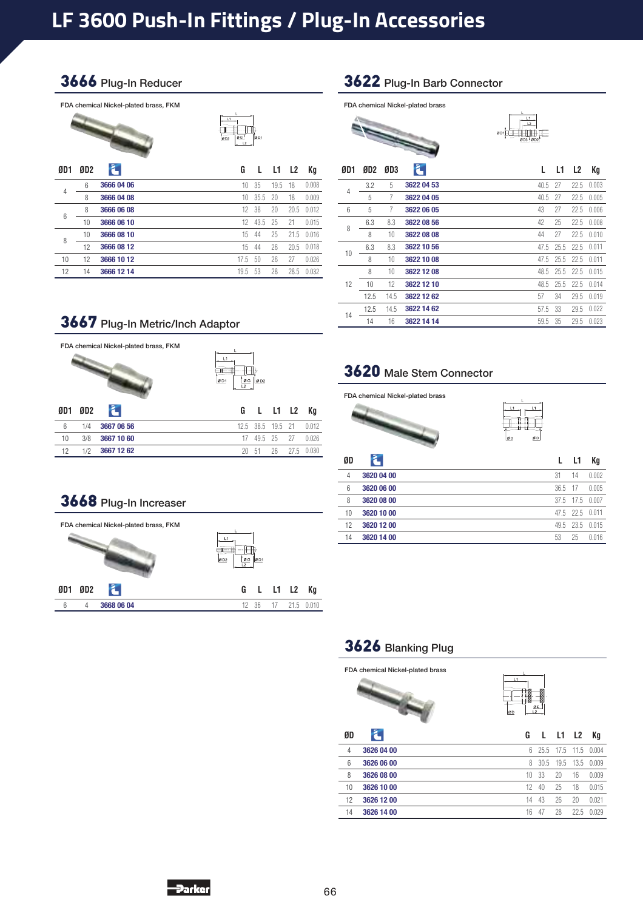# 3666 Plug-In Reducer





| ØD1            | ØD2 | $\mathcal{F}$ | G    |         | L1   | L <sub>2</sub> | Kq    |
|----------------|-----|---------------|------|---------|------|----------------|-------|
| $\overline{4}$ | 6   | 3666 04 06    | 10   | 35      | 19.5 | 18             | 0.008 |
|                | 8   | 3666 04 08    | 10   | 35.5    | 20   | 18             | 0.009 |
| 6              | 8   | 3666 06 08    | 12   | 38      | 20   | 20.5           | 0.012 |
|                | 10  | 3666 06 10    | 12   | 43.5 25 |      | 21             | 0.015 |
|                | 10  | 3666 08 10    | 15   | 44      | 25   | 21.5           | 0.016 |
| 8              | 12  | 3666 08 12    | 15   | 44      | 26   | 20.5           | 0.018 |
| 10             | 12  | 3666 10 12    | 17.5 | 50      | 26   | 27             | 0.026 |
| 12             | 14  | 3666 12 14    | 19.5 | 53      | 28   | 28.5           | 0.032 |

# 3622 Plug-In Barb Connector

# FDA chemical Nickel-plated brass I



| ØD1            | ØD2  | ØD3  | Ł          | L    | L1   | L <sub>2</sub> | Kg    |
|----------------|------|------|------------|------|------|----------------|-------|
| $\overline{4}$ | 3.2  | 5    | 3622 04 53 | 40.5 | 27   | 22.5           | 0.003 |
|                | 5    | 7    | 3622 04 05 | 40.5 | 27   | 22.5           | 0.005 |
| 6              | 5    | 7    | 3622 06 05 | 43   | 27   | 22.5           | 0.006 |
| 8              | 6.3  | 8.3  | 3622 08 56 | 42   | 25   | 22.5           | 0.008 |
|                | 8    | 10   | 3622 08 08 | 44   | 27   | 22.5           | 0.010 |
| 10             | 6.3  | 8.3  | 3622 10 56 | 47.5 | 25.5 | 22.5           | 0.011 |
|                | 8    | 10   | 3622 10 08 | 47.5 | 25.5 | 22.5           | 0.011 |
|                | 8    | 10   | 3622 12 08 | 48.5 | 25.5 | 22.5           | 0.015 |
| 12             | 10   | 12   | 3622 12 10 | 48.5 | 25.5 | 22.5           | 0.014 |
|                | 12.5 | 14.5 | 3622 12 62 | 57   | 34   | 29.5           | 0.019 |
| 14             | 12.5 | 14.5 | 3622 14 62 | 57.5 | 33   | 29.5           | 0.022 |
|                | 14   | 16   | 3622 14 14 | 59.5 | 35   | 29.5           | 0.023 |

# 3667 Plug-In Metric/Inch Adaptor

| FDA chemical Nickel-plated brass, FKM |                 |            | -----------<br>ØG<br>ØD1<br>$\mathfrak{p}$ | ØD2               |         |      |       |
|---------------------------------------|-----------------|------------|--------------------------------------------|-------------------|---------|------|-------|
| ØD1                                   | ØD <sub>2</sub> | Ł          | G                                          |                   | L L1 L2 |      | Kq    |
| 6                                     | 1/4             | 3667 06 56 |                                            | 12.5 38.5 19.5 21 |         |      | 0.012 |
| 10                                    | 3/8             | 3667 10 60 | 17                                         | 49.5 25           |         | 27   | 0.026 |
| 12                                    | 1/2             | 3667 12 62 | 20                                         | 51                | 26      | 27.5 | 0.030 |
|                                       |                 |            |                                            |                   |         |      |       |

### 3668 Plug-In Increaser FDA chemical Nickel-plated brass, FKM  $\mathbf{u}$  $\exists \mathbb{H}$  $=$  $\sigma_{D2}$  $100$ **ØD1 ØD2 G L L1 L2 Kg** 6 4 **3668 06 04** 12 36.0 17.0 21.5 0.010

# 3620 Male Stem Connector

FDA chemical Nickel-plated brass





| ØD | H          |         | L1 | Kq              |
|----|------------|---------|----|-----------------|
| 4  | 3620 04 00 | 31      | 14 | 0.002           |
| 6  | 3620 06 00 | 36.5 17 |    | 0.005           |
| 8  | 3620 08 00 |         |    | 37.5 17.5 0.007 |
| 10 | 3620 10 00 |         |    | 47.5 22.5 0.011 |
| 12 | 3620 12 00 |         |    | 49.5 23.5 0.015 |
| 14 | 3620 14 00 | 53      | 25 | 0.016           |
|    |            |         |    |                 |

# 3626 Blanking Plug





| ØD | τ          | G  | L    | L1 L2          |      | Κa    |
|----|------------|----|------|----------------|------|-------|
| 4  | 3626 04 00 | 6. |      | 25.5 17.5 11.5 |      | 0.004 |
| 6  | 3626 06 00 | 8  | 30.5 | 19.5 13.5      |      | 0.009 |
| 8  | 3626 08 00 | 10 | 33   | 20             | 16   | 0.009 |
| 10 | 3626 10 00 | 12 | 40   | 25             | 18   | 0.015 |
| 12 | 3626 12 00 | 14 | 43   | 26             | 20   | 0.021 |
| 14 | 3626 14 00 | 16 | 47   | 28             | 22.5 | 0.029 |
|    |            |    |      |                |      |       |

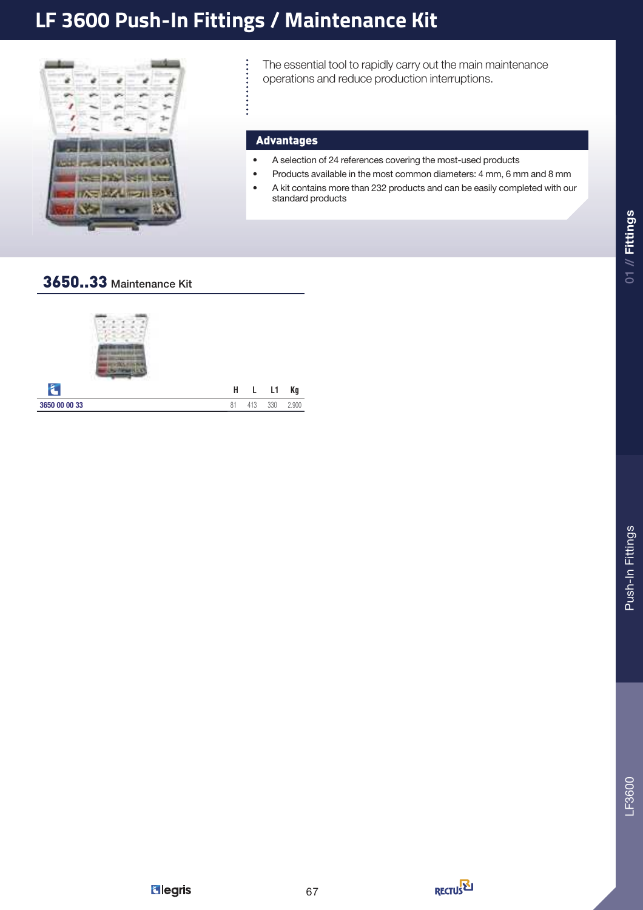

The essential tool to rapidly carry out the main maintenance operations and reduce production interruptions.

### Advantages

- A selection of 24 references covering the most-used products
- Products available in the most common diameters: 4 mm, 6 mm and 8 mm
- A kit contains more than 232 products and can be easily completed with our standard products

# 3650..33 Maintenance Kit



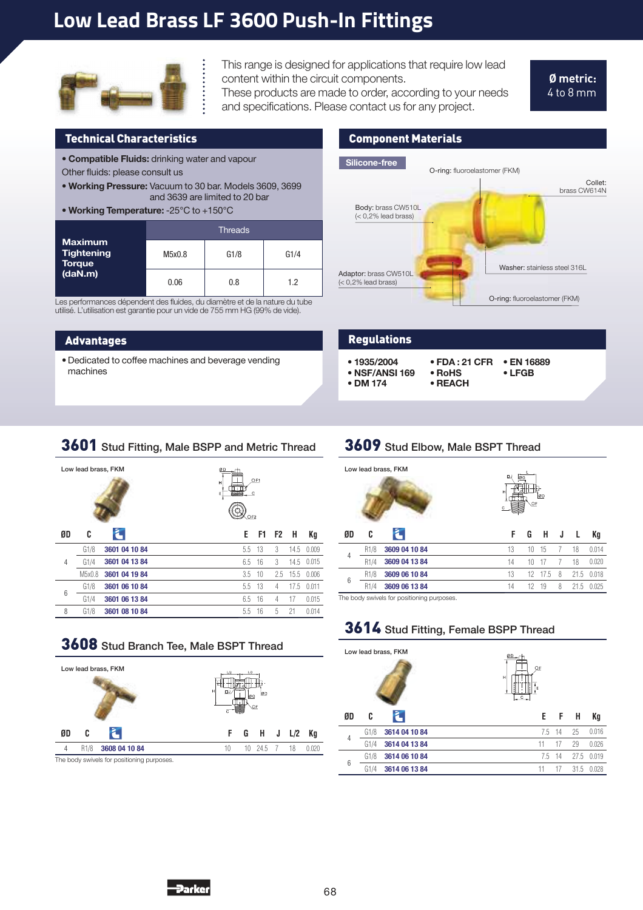# **Low Lead Brass LF 3600 Push-In Fittings**



This range is designed for applications that require low lead content within the circuit components.

These products are made to order, according to your needs and specifications. Please contact us for any project.

**Ø metric:**  4 to 8 mm

#### Technical Characteristics Component Materials

- Compatible Fluids: drinking water and vapour
- Other fluids: please consult us
- Working Pressure: Vacuum to 30 bar. Models 3609, 3699 and 3639 are limited to 20 bar
- Working Temperature: -25°C to +150°C

|                                                      |        | Threads |      |
|------------------------------------------------------|--------|---------|------|
| <b>Maximum</b><br><b>Tightening</b><br><b>Torque</b> | M5x0.8 | G1/8    | G1/4 |
| (daN.m)                                              | 0.06   | 0.8     | 1.2  |

Les performances dépendent des fluides, du diamètre et de la nature du tube utilisé. L'utilisation est garantie pour un vide de 755 mm HG (99% de vide).

### **Advantages**

• Dedicated to coffee machines and beverage vending machines



#### **Regulations**

- 1935/2004
- NSF/ANSI 169
- DM 174
- FDA : 21 CFR • EN 16889
- RoHS
- REACH
- LFGB
- 
- 

## 3601 Stud Fitting, Male BSPP and Metric Thread

| Low lead brass, FKM |        |               | ØD<br>H<br>Ε<br>OF <sub>2</sub> | OF1<br>с |         |      |       |
|---------------------|--------|---------------|---------------------------------|----------|---------|------|-------|
| ØD                  | C      | Ł             | E.                              |          | F1 F2 H |      | Kg    |
|                     | G1/8   | 3601 04 10 84 | 5.5                             | 13       | 3       | 14.5 | 0.009 |
| $\overline{4}$      | G1/4   | 3601 04 13 84 | 6.5                             | 16       | 3       | 14.5 | 0.015 |
|                     | M5x0.8 | 3601 04 19 84 | 3.5                             | 10       | 2.5     | 15.5 | 0.006 |
| $6\phantom{1}6$     | G1/8   | 3601 06 10 84 | 5.5                             | 13       | 4       | 17.5 | 0.011 |
|                     | G1/4   | 3601 06 13 84 | 6.5                             | 16       | 4       | 17   | 0.015 |
| 8                   | G1/8   | 3601 08 10 84 | 5.5                             | 16       | 5       | 21   | 0.014 |

### 3608 Stud Branch Tee, Male BSPT Thread



The body swivels for positioning purposes.

# 3609 Stud Elbow, Male BSPT Thread

| Low lead brass, FKM |                  |               | <b>OJ</b><br>Н<br>C | lø G<br>OF. | ØD   |   |      |       |
|---------------------|------------------|---------------|---------------------|-------------|------|---|------|-------|
| ØD                  | C                | r.            | F                   | G           | Н    | J | - L  | Kg    |
|                     | R <sub>1/8</sub> | 3609 04 10 84 | 13                  | 10          | 15   | 7 | 18   | 0.014 |
| $\overline{4}$      | R1/4             | 3609 04 13 84 | 14                  | 10          | 17   |   | 18   | 0.020 |
| 6                   | R <sub>1/8</sub> | 3609 06 10 84 | 13                  | 12          | 17.5 | 8 | 21.5 | 0.018 |
|                     | R1/4             | 3609 06 13 84 | 14                  | 12          | 19   | 8 | 21.5 | 0.025 |

The body swivels for positioning purposes.

### Low lead brass, FKM **ØD C E F H Kg** r. G1/8 **3614 04 10 84** 7.5 14 25 0.016 4 G1/4 **3614 04 13 84** 11 17 29 0.026 G1/8 **3614 06 10 84** 7.5 14 27.5 0.019 6 G1/4 **3614 06 13 84** 11 17 31.5 0.028

# 3614 Stud Fitting, Female BSPP Thread

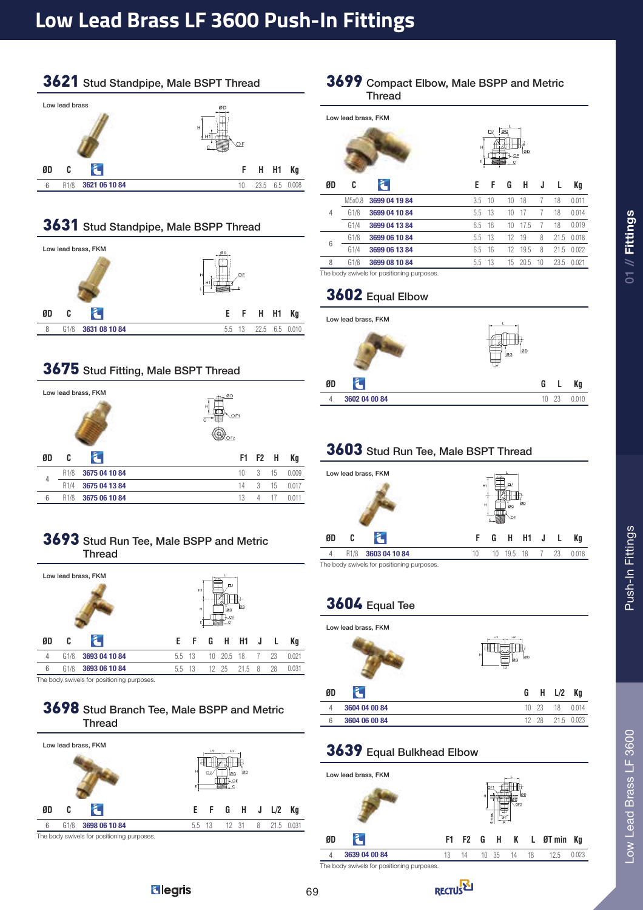# **Low Lead Brass LF 3600 Push-In Fittings**





# 3675 Stud Fitting, Male BSPT Thread





Low lead brass, FKM **ØD C E F G H H1 J L Kg** 4 G1/8 **3693 04 10 84** 5.5 13 10 20.5 18 7 23 0.021 6 G1/8 **3693 06 10 84** 5.5 13.0 12 25.0 21.5 8.0 28.0 0.031 The body swivels for positioning purposes.

### 3698 Stud Branch Tee, Male BSPP and Metric **Thread**

| Low lead brass, FKM |      | H<br>F                                     | L/2<br>⊡J, | L/2<br>øg<br>LOF | ØD            |  |   |      |       |
|---------------------|------|--------------------------------------------|------------|------------------|---------------|--|---|------|-------|
| ØD                  | C    |                                            |            |                  | E F G H J L/2 |  |   |      | Kq    |
| 6                   | G1/8 | 3698 06 10 84                              |            | 5.5 13           | $12 \quad 31$ |  | 8 | 21.5 | 0.031 |
|                     |      | The body swivels for positioning purposes. |            |                  |               |  |   |      |       |

The body swivels for positioning purposes.

### 3699 Compact Elbow, Male BSPP and Metric Thread

|    | Low lead brass, FKM |                                            |     | 巴<br>н<br>E | $\underline{\emptyset}$<br>OF | ØD   |    |      |       |
|----|---------------------|--------------------------------------------|-----|-------------|-------------------------------|------|----|------|-------|
| ØD | C                   | E                                          | Е   | F           | G                             | н    | J  | L    | Кg    |
|    | M5x0.8              | 3699 04 19 84                              | 3.5 | 10          | 10                            | 18   | 7  | 18   | 0.011 |
| 4  | G1/8                | 3699 04 10 84                              | 5.5 | 13          | 10                            | 17   | 7  | 18   | 0.014 |
|    | G1/4                | 3699 04 13 84                              | 6.5 | 16          | 10                            | 17.5 | 7  | 18   | 0.019 |
|    | G1/8                | 3699 06 10 84                              | 5.5 | 13          | 12                            | 19   | 8  | 21.5 | 0.018 |
| 6  | G1/4                | 3699 06 13 84                              | 6.5 | 16          | 12                            | 19.5 | 8  | 21.5 | 0.022 |
| 8  | G1/8                | 3699 08 10 84                              | 5.5 | 13          | 15                            | 20.5 | 10 | 23.5 | 0.021 |
|    |                     | The body swivels for positioning purposes. |     |             |                               |      |    |      |       |

3602 Equal Elbow



# 3603 Stud Run Tee, Male BSPT Thread Low lead brass, FKM **ØD C F G H H1 J L Kg** ŕ. 4 R1/8 **3603 04 10 84** 10 10 10 19.5 18 7 23 0.018

The body swivels for positioning purposes.

**3604 Equal Tee** 





| ØD | $\mathbf{z}_\parallel$ | G  | н         | L/2 | Kq         |
|----|------------------------|----|-----------|-----|------------|
| Δ  | 3604 04 00 84          |    | $10^{23}$ | 18  | 0.014      |
| 6  | 3604 06 00 84          | 12 | - 28      |     | 21.5 0.023 |

# 3639 Equal Bulkhead Elbow



**Elegris**